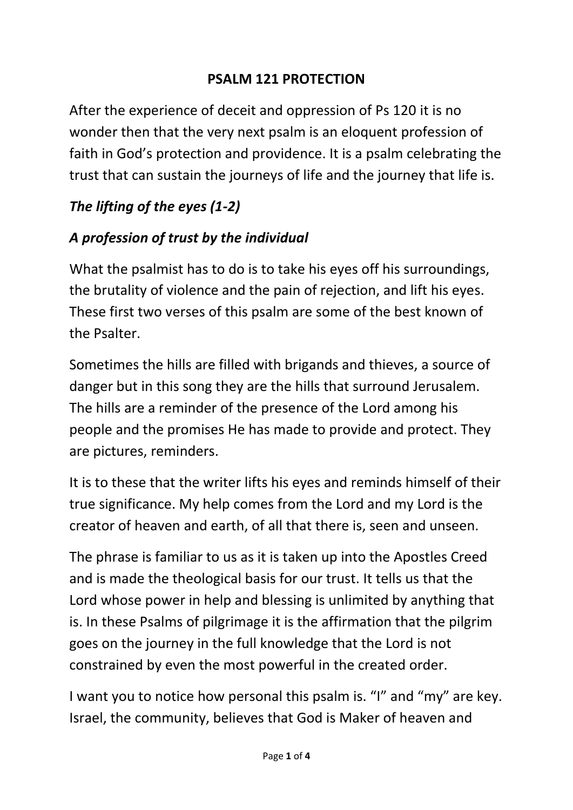#### **PSALM 121 PROTECTION**

After the experience of deceit and oppression of Ps 120 it is no wonder then that the very next psalm is an eloquent profession of faith in God's protection and providence. It is a psalm celebrating the trust that can sustain the journeys of life and the journey that life is.

## *The lifting of the eyes (1-2)*

### *A profession of trust by the individual*

What the psalmist has to do is to take his eyes off his surroundings, the brutality of violence and the pain of rejection, and lift his eyes. These first two verses of this psalm are some of the best known of the Psalter.

Sometimes the hills are filled with brigands and thieves, a source of danger but in this song they are the hills that surround Jerusalem. The hills are a reminder of the presence of the Lord among his people and the promises He has made to provide and protect. They are pictures, reminders.

It is to these that the writer lifts his eyes and reminds himself of their true significance. My help comes from the Lord and my Lord is the creator of heaven and earth, of all that there is, seen and unseen.

The phrase is familiar to us as it is taken up into the Apostles Creed and is made the theological basis for our trust. It tells us that the Lord whose power in help and blessing is unlimited by anything that is. In these Psalms of pilgrimage it is the affirmation that the pilgrim goes on the journey in the full knowledge that the Lord is not constrained by even the most powerful in the created order.

I want you to notice how personal this psalm is. "I" and "my" are key. Israel, the community, believes that God is Maker of heaven and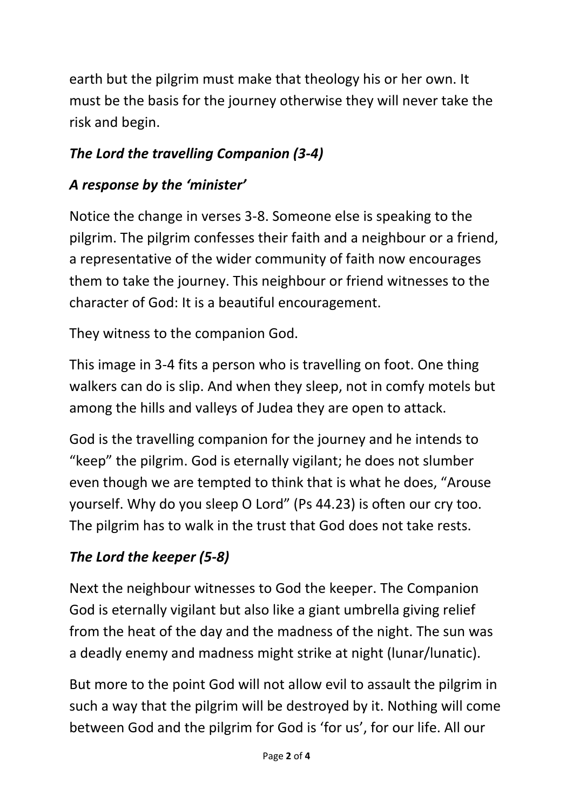earth but the pilgrim must make that theology his or her own. It must be the basis for the journey otherwise they will never take the risk and begin.

# *The Lord the travelling Companion (3-4)*

### *A response by the 'minister'*

Notice the change in verses 3-8. Someone else is speaking to the pilgrim. The pilgrim confesses their faith and a neighbour or a friend, a representative of the wider community of faith now encourages them to take the journey. This neighbour or friend witnesses to the character of God: It is a beautiful encouragement.

They witness to the companion God.

This image in 3-4 fits a person who is travelling on foot. One thing walkers can do is slip. And when they sleep, not in comfy motels but among the hills and valleys of Judea they are open to attack.

God is the travelling companion for the journey and he intends to "keep" the pilgrim. God is eternally vigilant; he does not slumber even though we are tempted to think that is what he does, "Arouse yourself. Why do you sleep O Lord" (Ps 44.23) is often our cry too. The pilgrim has to walk in the trust that God does not take rests.

# *The Lord the keeper (5-8)*

Next the neighbour witnesses to God the keeper. The Companion God is eternally vigilant but also like a giant umbrella giving relief from the heat of the day and the madness of the night. The sun was a deadly enemy and madness might strike at night (lunar/lunatic).

But more to the point God will not allow evil to assault the pilgrim in such a way that the pilgrim will be destroyed by it. Nothing will come between God and the pilgrim for God is 'for us', for our life. All our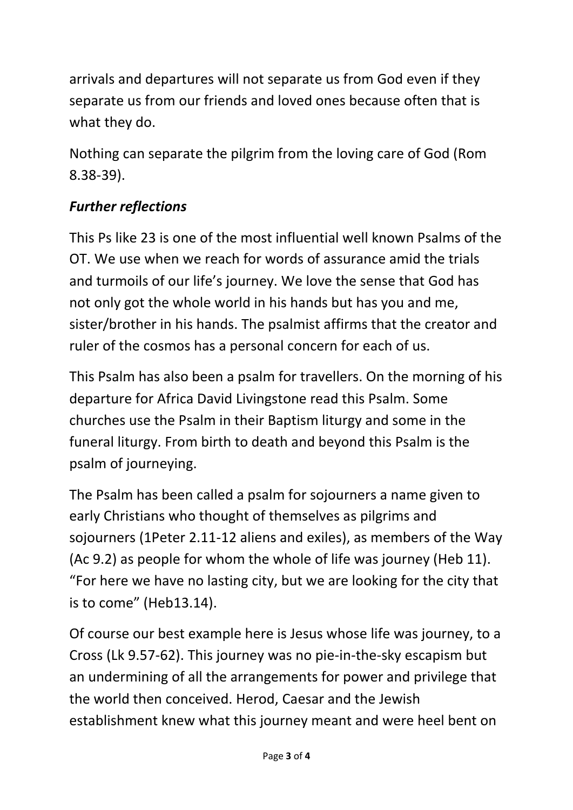arrivals and departures will not separate us from God even if they separate us from our friends and loved ones because often that is what they do.

Nothing can separate the pilgrim from the loving care of God (Rom 8.38-39).

#### *Further reflections*

This Ps like 23 is one of the most influential well known Psalms of the OT. We use when we reach for words of assurance amid the trials and turmoils of our life's journey. We love the sense that God has not only got the whole world in his hands but has you and me, sister/brother in his hands. The psalmist affirms that the creator and ruler of the cosmos has a personal concern for each of us.

This Psalm has also been a psalm for travellers. On the morning of his departure for Africa David Livingstone read this Psalm. Some churches use the Psalm in their Baptism liturgy and some in the funeral liturgy. From birth to death and beyond this Psalm is the psalm of journeying.

The Psalm has been called a psalm for sojourners a name given to early Christians who thought of themselves as pilgrims and sojourners (1Peter 2.11-12 aliens and exiles), as members of the Way (Ac 9.2) as people for whom the whole of life was journey (Heb 11). "For here we have no lasting city, but we are looking for the city that is to come" (Heb13.14).

Of course our best example here is Jesus whose life was journey, to a Cross (Lk 9.57-62). This journey was no pie-in-the-sky escapism but an undermining of all the arrangements for power and privilege that the world then conceived. Herod, Caesar and the Jewish establishment knew what this journey meant and were heel bent on